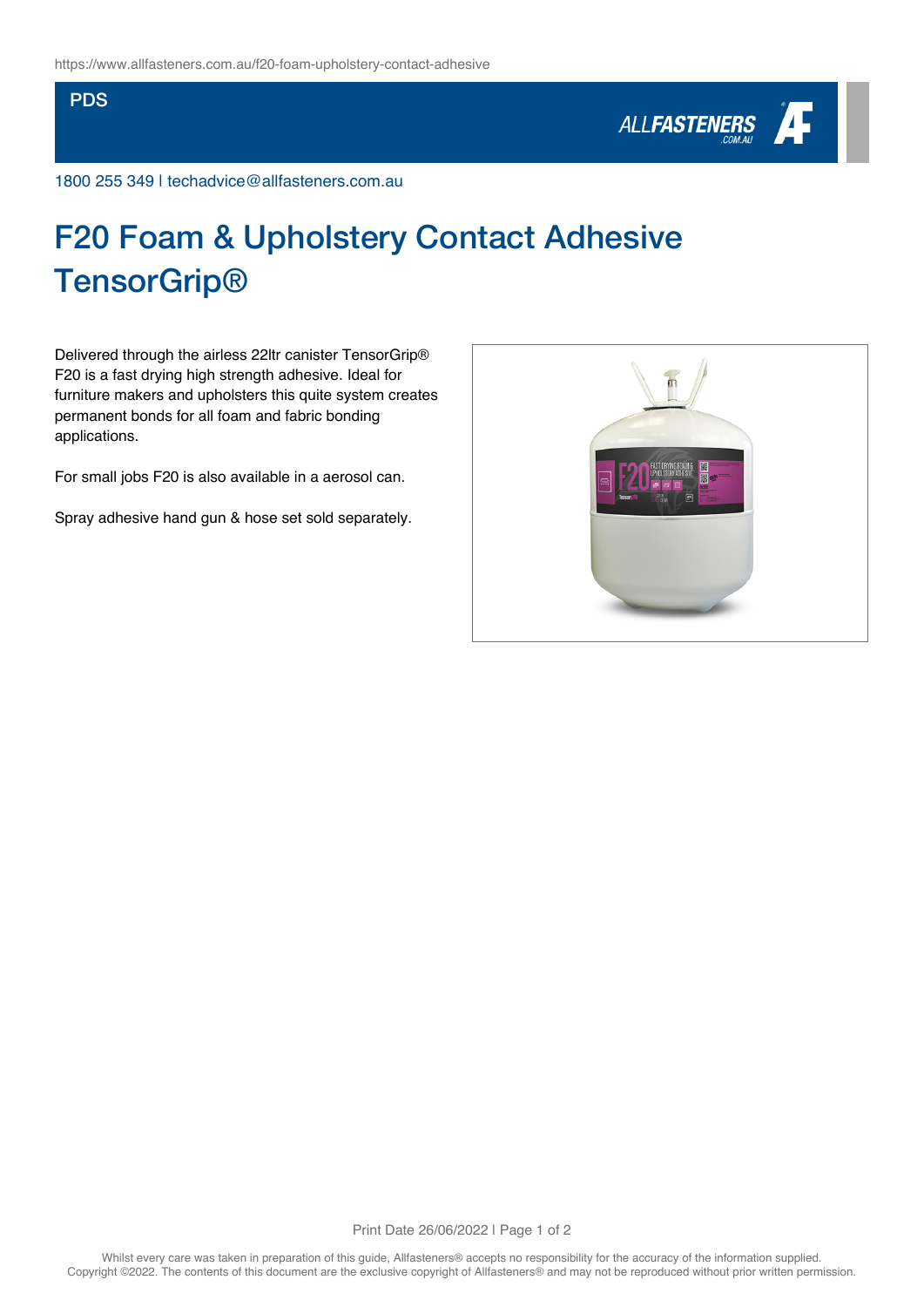## **PDS**



1800 255 349 | techadvice@allfasteners.com.au

## F20 Foam & Upholstery Contact Adhesive **TensorGrip®**

Delivered through the airless 22ltr canister TensorGrip® F20 is a fast drying high strength adhesive. Ideal for furniture makers and upholsters this quite system creates permanent bonds for all foam and fabric bonding applications.

For small jobs F20 is also available in a aerosol can.

Spray adhesive hand gun & hose set sold separately.



Print Date 26/06/2022 | Page 1 of 2